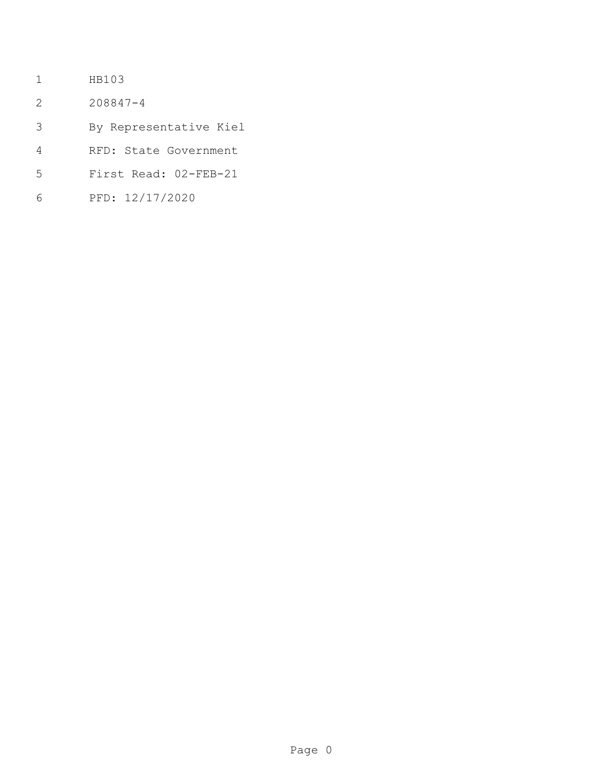- HB103
- 208847-4
- By Representative Kiel
- RFD: State Government
- First Read: 02-FEB-21
- PFD: 12/17/2020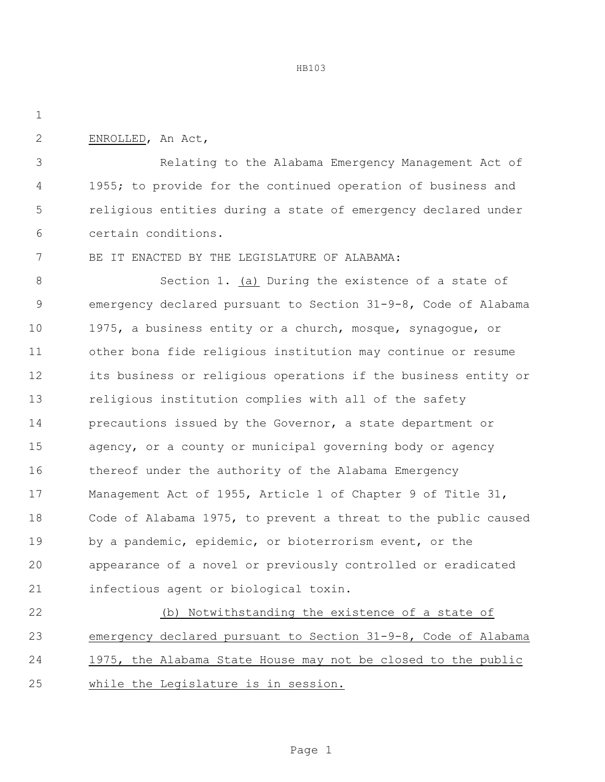HB103

ENROLLED, An Act,

 Relating to the Alabama Emergency Management Act of 4 1955; to provide for the continued operation of business and religious entities during a state of emergency declared under certain conditions.

BE IT ENACTED BY THE LEGISLATURE OF ALABAMA:

 Section 1. (a) During the existence of a state of emergency declared pursuant to Section 31-9-8, Code of Alabama 1975, a business entity or a church, mosque, synagogue, or other bona fide religious institution may continue or resume its business or religious operations if the business entity or religious institution complies with all of the safety precautions issued by the Governor, a state department or agency, or a county or municipal governing body or agency thereof under the authority of the Alabama Emergency Management Act of 1955, Article 1 of Chapter 9 of Title 31, Code of Alabama 1975, to prevent a threat to the public caused by a pandemic, epidemic, or bioterrorism event, or the appearance of a novel or previously controlled or eradicated infectious agent or biological toxin.

 (b) Notwithstanding the existence of a state of emergency declared pursuant to Section 31-9-8, Code of Alabama 1975, the Alabama State House may not be closed to the public while the Legislature is in session.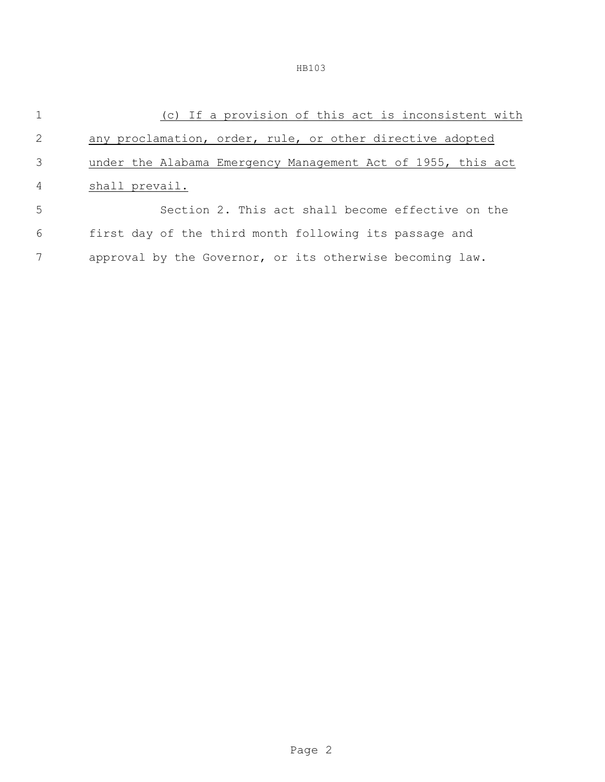| $\overline{1}$ | (c) If a provision of this act is inconsistent with          |  |  |
|----------------|--------------------------------------------------------------|--|--|
| 2              | any proclamation, order, rule, or other directive adopted    |  |  |
| 3              | under the Alabama Emergency Management Act of 1955, this act |  |  |
| $\overline{4}$ | shall prevail.                                               |  |  |
| 5              | Section 2. This act shall become effective on the            |  |  |
| 6              | first day of the third month following its passage and       |  |  |
| 7              | approval by the Governor, or its otherwise becoming law.     |  |  |